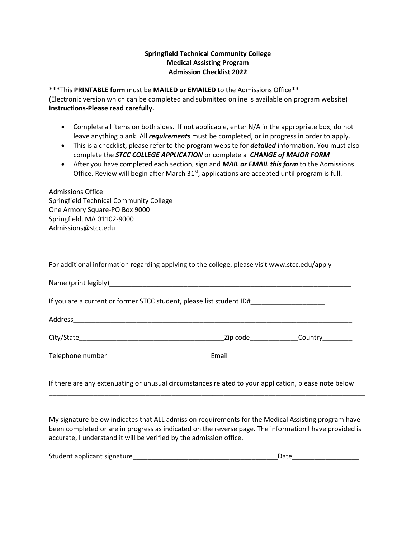## **Springfield Technical Community College Medical Assisting Program Admission Checklist 2022**

**\*\*\***This **PRINTABLE form** must be **MAILED or EMAILED** to the Admissions Office**\*\***  (Electronic version which can be completed and submitted online is available on program website) **Instructions-Please read carefully.**

- Complete all items on both sides. If not applicable, enter N/A in the appropriate box, do not leave anything blank. All *requirements* must be completed, or in progress in order to apply.
- This is a checklist, please refer to the program website for *detailed* information. You must also complete the *STCC COLLEGE APPLICATION* or complete a *CHANGE of MAJOR FORM*
- After you have completed each section, sign and *MAIL or EMAIL this form* to the Admissions Office. Review will begin after March 31<sup>st</sup>, applications are accepted until program is full.

| <b>Admissions Office</b>                |
|-----------------------------------------|
| Springfield Technical Community College |
| One Armory Square-PO Box 9000           |
| Springfield, MA 01102-9000              |
| Admissions@stcc.edu                     |
|                                         |

For additional information regarding applying to the college, please visit www.stcc.edu/apply

|  | Zip code and the state of the state of the state of the state of the state of the state of the state of the st | <b>Country</b> |  |  |  |  |  |  |
|--|----------------------------------------------------------------------------------------------------------------|----------------|--|--|--|--|--|--|
|  |                                                                                                                |                |  |  |  |  |  |  |
|  |                                                                                                                |                |  |  |  |  |  |  |

If there are any extenuating or unusual circumstances related to your application, please note below

\_\_\_\_\_\_\_\_\_\_\_\_\_\_\_\_\_\_\_\_\_\_\_\_\_\_\_\_\_\_\_\_\_\_\_\_\_\_\_\_\_\_\_\_\_\_\_\_\_\_\_\_\_\_\_\_\_\_\_\_\_\_\_\_\_\_\_\_\_\_\_\_\_\_\_\_\_\_\_\_\_\_\_\_\_ \_\_\_\_\_\_\_\_\_\_\_\_\_\_\_\_\_\_\_\_\_\_\_\_\_\_\_\_\_\_\_\_\_\_\_\_\_\_\_\_\_\_\_\_\_\_\_\_\_\_\_\_\_\_\_\_\_\_\_\_\_\_\_\_\_\_\_\_\_\_\_\_\_\_\_\_\_\_\_\_\_\_\_\_\_

My signature below indicates that ALL admission requirements for the Medical Assisting program have been completed or are in progress as indicated on the reverse page. The information I have provided is accurate, I understand it will be verified by the admission office.

| Student applicant signature |  |
|-----------------------------|--|
|-----------------------------|--|